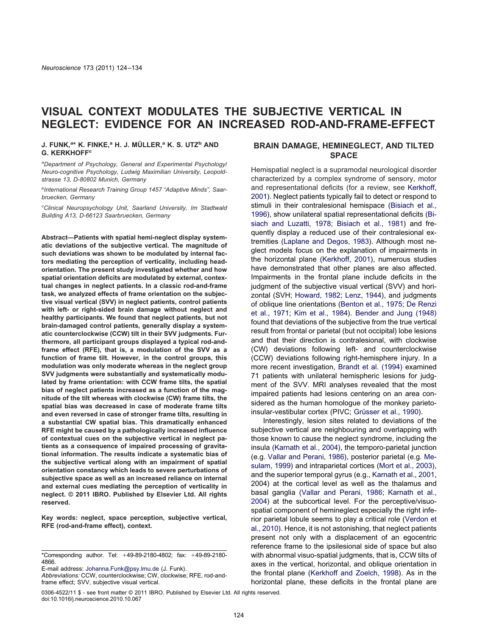# **VISUAL CONTEXT MODULATES THE SUBJECTIVE VERTICAL IN NEGLECT: EVIDENCE FOR AN INCREASED ROD-AND-FRAME-EFFECT**

### **J. FUNK,<sup>a</sup>\* K. FINKE,<sup>a</sup> H. J. MÜLLER,<sup>a</sup> K. S. UTZ<sup>b</sup> AND G. KERKHOFFc**

*a Department of Psychology, General and Experimental Psychology/ Neuro-cognitive Psychology, Ludwig Maximilian University, Leopoldstrasse 13, D-80802 Munich, Germany*

*b International Research Training Group 1457 "Adaptive Minds", Saarbruecken, Germany*

*c Clinical Neuropsychology Unit, Saarland University, Im Stadtwald Building A13, D-66123 Saarbruecken, Germany*

**Abstract—Patients with spatial hemi-neglect display systematic deviations of the subjective vertical. The magnitude of such deviations was shown to be modulated by internal factors mediating the perception of verticality, including headorientation. The present study investigated whether and how spatial orientation deficits are modulated by external, contextual changes in neglect patients. In a classic rod-and-frame task, we analyzed effects of frame orientation on the subjective visual vertical (SVV) in neglect patients, control patients with left- or right-sided brain damage without neglect and healthy participants. We found that neglect patients, but not brain-damaged control patients, generally display a systematic counterclockwise (CCW) tilt in their SVV judgments. Furthermore, all participant groups displayed a typical rod-andframe effect (RFE), that is, a modulation of the SVV as a function of frame tilt. However, in the control groups, this modulation was only moderate whereas in the neglect group SVV judgments were substantially and systematically modulated by frame orientation: with CCW frame tilts, the spatial bias of neglect patients increased as a function of the magnitude of the tilt whereas with clockwise (CW) frame tilts, the spatial bias was decreased in case of moderate frame tilts and even reversed in case of stronger frame tilts, resulting in a substantial CW spatial bias. This dramatically enhanced RFE might be caused by a pathologically increased influence of contextual cues on the subjective vertical in neglect patients as a consequence of impaired processing of gravitational information. The results indicate a systematic bias of the subjective vertical along with an impairment of spatial orientation constancy which leads to severe perturbations of subjective space as well as an increased reliance on internal and external cues mediating the perception of verticality in neglect. © 2011 IBRO. Published by Elsevier Ltd. All rights reserved.**

**Key words: neglect, space perception, subjective vertical, RFE (rod-and-frame effect), context.**

E-mail address: [Johanna.Funk@psy.lmu.de](mailto:Johanna.Funk@psy.lmu.de) (J. Funk).

*Abbreviations:* CCW, counterclockwise; CW, clockwise; RFE, rod-andframe effect; SVV, subjective visual vertical.

0306-4522/11 \$ - see front matter © 2011 IBRO. Published by Elsevier Ltd. All rights reserved. doi:10.1016/j.neuroscience.2010.10.067

# **BRAIN DAMAGE, HEMINEGLECT, AND TILTED SPACE**

Hemispatial neglect is a supramodal neurological disorder characterized by a complex syndrome of sensory, motor and representational deficits (for a review, see [Kerkhoff,](#page-10-0) [2001\)](#page-10-0). Neglect patients typically fail to detect or respond to stimuli in their contralesional hemispace [\(Bisiach et al.,](#page-9-0) [1996\)](#page-9-0), show unilateral spatial representational deficits [\(Bi](#page-9-0)[siach and Luzatti, 1978; Bisiach et al., 1981\)](#page-9-0) and frequently display a reduced use of their contralesional extremities [\(Laplane and Degos, 1983\)](#page-10-0). Although most neglect models focus on the explanation of impairments in the horizontal plane [\(Kerkhoff, 2001\)](#page-10-0), numerous studies have demonstrated that other planes are also affected. Impairments in the frontal plane include deficits in the judgment of the subjective visual vertical (SVV) and horizontal (SVH; [Howard, 1982; Lenz, 1944\)](#page-9-0), and judgments of oblique line orientations [\(Benton et al., 1975; De Renzi](#page-9-0) [et al., 1971; Kim et al., 1984\)](#page-9-0). [Bender and Jung \(1948\)](#page-9-0) found that deviations of the subjective from the true vertical result from frontal or parietal (but not occipital) lobe lesions and that their direction is contralesional, with clockwise (CW) deviations following left- and counterclockwise (CCW) deviations following right-hemisphere injury. In a more recent investigation, [Brandt et al. \(1994\)](#page-9-0) examined 71 patients with unilateral hemispheric lesions for judgment of the SVV. MRI analyses revealed that the most impaired patients had lesions centering on an area considered as the human homologue of the monkey parietoinsular-vestibular cortex (PIVC; [Grüsser et al., 1990\)](#page-9-0).

Interestingly, lesion sites related to deviations of the subjective vertical are neighbouring and overlapping with those known to cause the neglect syndrome, including the insula [\(Karnath et al., 2004\)](#page-10-0), the temporo-parietal junction (e.g. [Vallar and Perani, 1986\)](#page-10-0), posterior parietal (e.g. [Me](#page-10-0)[sulam, 1999\)](#page-10-0) and intraparietal cortices [\(Mort et al., 2003\)](#page-10-0), and the superior temporal gyrus (e.g., [Karnath et al., 2001,](#page-10-0) 2004) at the cortical level as well as the thalamus and basal ganglia [\(Vallar and Perani, 1986;](#page-10-0) [Karnath et al.,](#page-10-0) [2004\)](#page-10-0) at the subcortical level. For the perceptive/visuospatial component of hemineglect especially the right inferior parietal lobule seems to play a critical role [\(Verdon et](#page-10-0) [al., 2010\)](#page-10-0). Hence, it is not astonishing, that neglect patients present not only with a displacement of an egocentric reference frame to the ipsilesional side of space but also with abnormal visuo-spatial judgments, that is, CCW tilts of axes in the vertical, horizontal, and oblique orientation in the frontal plane [\(Kerkhoff and Zoelch, 1998\)](#page-10-0). As in the horizontal plane, these deficits in the frontal plane are

<sup>\*</sup>Corresponding author. Tel: 49-89-2180-4802; fax: 49-89-2180- 4866.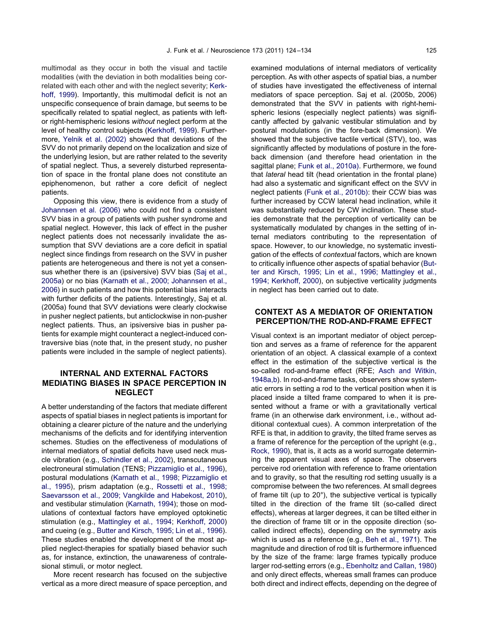multimodal as they occur in both the visual and tactile modalities (with the deviation in both modalities being correlated with each other and with the neglect severity; [Kerk](#page-10-0)[hoff, 1999\)](#page-10-0). Importantly, this multimodal deficit is not an unspecific consequence of brain damage, but seems to be specifically related to spatial neglect, as patients with leftor right-hemispheric lesions *without* neglect perform at the level of healthy control subjects [\(Kerkhoff, 1999\)](#page-10-0). Furthermore, [Yelnik et al. \(2002\)](#page-10-0) showed that deviations of the SVV do not primarily depend on the localization and size of the underlying lesion, but are rather related to the severity of spatial neglect. Thus, a severely disturbed representation of space in the frontal plane does not constitute an epiphenomenon, but rather a core deficit of neglect patients.

Opposing this view, there is evidence from a study of [Johannsen et al. \(2006\)](#page-9-0) who could not find a consistent SVV bias in a group of patients with pusher syndrome and spatial neglect. However, this lack of effect in the pusher neglect patients does not necessarily invalidate the assumption that SVV deviations are a core deficit in spatial neglect since findings from research on the SVV in pusher patients are heterogeneous and there is not yet a consensus whether there is an (ipsiversive) SVV bias [\(Saj et al.,](#page-10-0) [2005a\)](#page-10-0) or no bias [\(Karnath et al., 2000; Johannsen et al.,](#page-10-0) [2006\)](#page-10-0) in such patients and how this potential bias interacts with further deficits of the patients. Interestingly, Saj et al. (2005a) found that SVV deviations were clearly clockwise in pusher neglect patients, but anticlockwise in non-pusher neglect patients. Thus, an ipsiversive bias in pusher patients for example might counteract a neglect-induced contraversive bias (note that, in the present study, no pusher patients were included in the sample of neglect patients).

# **INTERNAL AND EXTERNAL FACTORS MEDIATING BIASES IN SPACE PERCEPTION IN NEGLECT**

A better understanding of the factors that mediate different aspects of spatial biases in neglect patients is important for obtaining a clearer picture of the nature and the underlying mechanisms of the deficits and for identifying intervention schemes. Studies on the effectiveness of modulations of internal mediators of spatial deficits have used neck muscle vibration (e.g., [Schindler et al., 2002\)](#page-10-0), transcutaneous electroneural stimulation (TENS; [Pizzamiglio et al., 1996\)](#page-10-0), postural modulations [\(Karnath et al., 1998; Pizzamiglio et](#page-10-0) [al., 1995\)](#page-10-0), prism adaptation (e.g., [Rossetti et al., 1998;](#page-10-0) [Saevarsson et al., 2009; Vangkilde and Habekost, 2010\)](#page-10-0), and vestibular stimulation [\(Karnath, 1994\)](#page-9-0); those on modulations of contextual factors have employed optokinetic stimulation (e.g., [Mattingley et al., 1994;](#page-10-0) [Kerkhoff, 2000\)](#page-10-0) and cueing (e.g., [Butter and Kirsch, 1995; Lin et al., 1996\)](#page-9-0). These studies enabled the development of the most applied neglect-therapies for spatially biased behavior such as, for instance, extinction, the unawareness of contralesional stimuli, or motor neglect.

More recent research has focused on the subjective vertical as a more direct measure of space perception, and examined modulations of internal mediators of verticality perception. As with other aspects of spatial bias, a number of studies have investigated the effectiveness of internal mediators of space perception. Saj et al. (2005b, 2006) demonstrated that the SVV in patients with right-hemispheric lesions (especially neglect patients) was significantly affected by galvanic vestibular stimulation and by postural modulations (in the fore-back dimension). We showed that the subjective tactile vertical (STV), too, was significantly affected by modulations of posture in the foreback dimension (and therefore head orientation in the sagittal plane; [Funk et al., 2010a\).](#page-9-0) Furthermore, we found that *lateral* head tilt (head orientation in the frontal plane) had also a systematic and significant effect on the SVV in neglect patients [\(Funk et al., 2010b\):](#page-9-0) their CCW bias was further increased by CCW lateral head inclination, while it was substantially reduced by CW inclination. These studies demonstrate that the perception of verticality can be systematically modulated by changes in the setting of internal mediators contributing to the representation of space. However, to our knowledge, no systematic investigation of the effects of *contextual* factors, which are known to critically influence other aspects of spatial behavior [\(But](#page-9-0)[ter and Kirsch, 1995; Lin et al., 1996; Mattingley et al.,](#page-9-0) [1994; Kerkhoff, 2000\)](#page-9-0), on subjective verticality judgments in neglect has been carried out to date.

# **CONTEXT AS A MEDIATOR OF ORIENTATION PERCEPTION/THE ROD-AND-FRAME EFFECT**

Visual context is an important mediator of object perception and serves as a frame of reference for the apparent orientation of an object. A classical example of a context effect in the estimation of the subjective vertical is the so-called rod-and-frame effect (RFE; [Asch and Witkin,](#page-9-0) [1948a,b\)](#page-9-0). In rod-and-frame tasks, observers show systematic errors in setting a rod to the vertical position when it is placed inside a tilted frame compared to when it is presented without a frame or with a gravitationally vertical frame (in an otherwise dark environment, i.e., without additional contextual cues). A common interpretation of the RFE is that, in addition to gravity, the tilted frame serves as a frame of reference for the perception of the upright (e.g., [Rock, 1990\)](#page-10-0), that is, it acts as a world surrogate determining the apparent visual axes of space. The observers perceive rod orientation with reference to frame orientation and to gravity, so that the resulting rod setting usually is a compromise between the two references. At small degrees of frame tilt (up to 20°), the subjective vertical is typically tilted in the direction of the frame tilt (so-called direct effects), whereas at larger degrees, it can be tilted either in the direction of frame tilt or in the opposite direction (socalled indirect effects), depending on the symmetry axis which is used as a reference (e.g., [Beh et al., 1971\)](#page-9-0). The magnitude and direction of rod tilt is furthermore influenced by the size of the frame: large frames typically produce larger rod-setting errors (e.g., [Ebenholtz and Callan, 1980\)](#page-9-0) and only direct effects, whereas small frames can produce both direct and indirect effects, depending on the degree of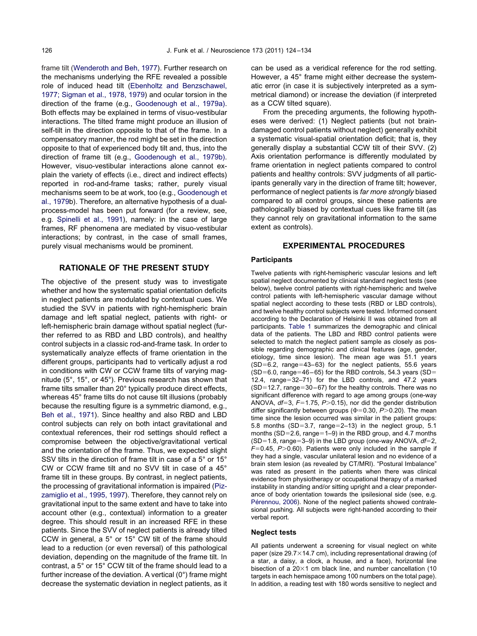frame tilt [\(Wenderoth and Beh, 1977\)](#page-10-0). Further research on the mechanisms underlying the RFE revealed a possible role of induced head tilt [\(Ebenholtz and Benzschawel,](#page-9-0) [1977; Sigman et al., 1978, 1979\)](#page-9-0) and ocular torsion in the direction of the frame (e.g., [Goodenough et al., 1979a\).](#page-9-0) Both effects may be explained in terms of visuo-vestibular interactions. The tilted frame might produce an illusion of self-tilt in the direction opposite to that of the frame. In a compensatory manner, the rod might be set in the direction opposite to that of experienced body tilt and, thus, into the direction of frame tilt (e.g., [Goodenough et al., 1979b\).](#page-9-0) However, visuo-vestibular interactions alone cannot explain the variety of effects (i.e., direct and indirect effects) reported in rod-and-frame tasks; rather, purely visual mechanisms seem to be at work, too (e.g., [Goodenough et](#page-9-0) [al., 1979b](#page-9-0)). Therefore, an alternative hypothesis of a dualprocess-model has been put forward (for a review, see, e.g. [Spinelli et al., 1991\)](#page-10-0), namely: in the case of large frames, RF phenomena are mediated by visuo-vestibular interactions; by contrast, in the case of small frames, purely visual mechanisms would be prominent.

# **RATIONALE OF THE PRESENT STUDY**

The objective of the present study was to investigate whether and how the systematic spatial orientation deficits in neglect patients are modulated by contextual cues. We studied the SVV in patients with right-hemispheric brain damage and left spatial neglect, patients with right- or left-hemispheric brain damage without spatial neglect (further referred to as RBD and LBD controls), and healthy control subjects in a classic rod-and-frame task. In order to systematically analyze effects of frame orientation in the different groups, participants had to vertically adjust a rod in conditions with CW or CCW frame tilts of varying magnitude (5°, 15°, or 45°). Previous research has shown that frame tilts smaller than 20° typically produce direct effects, whereas 45° frame tilts do not cause tilt illusions (probably because the resulting figure is a symmetric diamond, e.g., [Beh et al., 1971\)](#page-9-0). Since healthy and also RBD and LBD control subjects can rely on both intact gravitational and contextual references, their rod settings should reflect a compromise between the objective/gravitational vertical and the orientation of the frame. Thus, we expected slight SSV tilts in the direction of frame tilt in case of a 5° or 15° CW or CCW frame tilt and no SVV tilt in case of a 45° frame tilt in these groups. By contrast, in neglect patients, the processing of gravitational information is impaired [\(Piz](#page-10-0)[zamiglio et al., 1995, 1997\)](#page-10-0). Therefore, they cannot rely on gravitational input to the same extent and have to take into account other (e.g., contextual) information to a greater degree. This should result in an increased RFE in these patients. Since the SVV of neglect patients is already tilted CCW in general, a 5° or 15° CW tilt of the frame should lead to a reduction (or even reversal) of this pathological deviation, depending on the magnitude of the frame tilt. In contrast, a 5° or 15° CCW tilt of the frame should lead to a further increase of the deviation. A vertical (0°) frame might decrease the systematic deviation in neglect patients, as it can be used as a veridical reference for the rod setting. However, a 45° frame might either decrease the systematic error (in case it is subjectively interpreted as a symmetrical diamond) or increase the deviation (if interpreted as a CCW tilted square).

From the preceding arguments, the following hypotheses were derived: (1) Neglect patients (but not braindamaged control patients without neglect) generally exhibit a systematic visual-spatial orientation deficit; that is, they generally display a substantial CCW tilt of their SVV. (2) Axis orientation performance is differently modulated by frame orientation in neglect patients compared to control patients and healthy controls: SVV judgments of all participants generally vary in the direction of frame tilt; however, performance of neglect patients is *far more strongly* biased compared to all control groups, since these patients are pathologically biased by contextual cues like frame tilt (as they cannot rely on gravitational information to the same extent as controls).

### **EXPERIMENTAL PROCEDURES**

# **Participants**

Twelve patients with right-hemispheric vascular lesions and left spatial neglect documented by clinical standard neglect tests (see below), twelve control patients with right-hemispheric and twelve control patients with left-hemispheric vascular damage without spatial neglect according to these tests (RBD or LBD controls), and twelve healthy control subjects were tested. Informed consent according to the Declaration of Helsinki II was obtained from all participants. [Table 1](#page-3-0) summarizes the demographic and clinical data of the patients. The LBD and RBD control patients were selected to match the neglect patient sample as closely as possible regarding demographic and clinical features (age, gender, etiology, time since lesion). The mean age was 51.1 years (SD-6.2, range-43– 63) for the neglect patients, 55.6 years  $(SD=6.0, \text{ range}=46-65)$  for the RBD controls, 54.3 years  $(SD=$ 12.4, range-32–71) for the LBD controls, and 47.2 years (SD=12.7, range=30-67) for the healthy controls. There was no significant difference with regard to age among groups (one-way ANOVA, *df=*3, *F=*1.75, *P*>0.15), nor did the gender distribution differ significantly between groups ( $\Phi$ =0.30, P>0.20). The mean time since the lesion occurred was similar in the patient groups: 5.8 months (SD-3.7, range-2–13) in the neglect group, 5.1 months (SD=2.6, range=1–9) in the RBD group, and 4.7 months (SD=1.8, range=3–9) in the LBD group (one-way ANOVA, df=2, *F*=0.45, *P*>0.60). Patients were only included in the sample if they had a single, vascular unilateral lesion and no evidence of a brain stem lesion (as revealed by CT/MRI). "Postural Imbalance" was rated as present in the patients when there was clinical evidence from physiotherapy or occupational therapy of a marked instability in standing and/or sitting upright and a clear preponderance of body orientation towards the ipsilesional side (see, e.g. [Pérennou, 2006\)](#page-10-0). None of the neglect patients showed contralesional pushing. All subjects were right-handed according to their verbal report.

### **Neglect tests**

All patients underwent a screening for visual neglect on white paper (size  $29.7\times14.7$  cm), including representational drawing (of a star, a daisy, a clock, a house, and a face), horizontal line bisection of a  $20\times1$  cm black line, and number cancellation (10 targets in each hemispace among 100 numbers on the total page). In addition, a reading test with 180 words sensitive to neglect and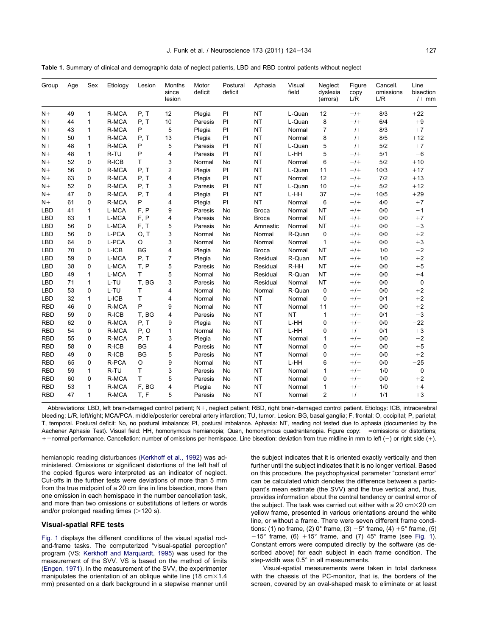<span id="page-3-0"></span>**Table 1.** Summary of clinical and demographic data of neglect patients, LBD and RBD control patients without neglect

| Group      | Age | Sex          | Etiology | Lesion    | Months<br>since<br>lesion | Motor<br>deficit | Postural<br>deficit | Aphasia      | Visual<br>field | Neglect<br>dyslexia<br>(errors) | Figure<br>copy<br>L/R | Cancell.<br>omissions<br>L/R | Line<br>bisection<br>$-/+$ mm |
|------------|-----|--------------|----------|-----------|---------------------------|------------------|---------------------|--------------|-----------------|---------------------------------|-----------------------|------------------------------|-------------------------------|
| $N+$       | 49  | 1            | R-MCA    | P, T      | 12                        | Plegia           | PI                  | <b>NT</b>    | L-Quan          | 12                              | $-1+$                 | 8/3                          | $+22$                         |
| $N+$       | 44  | 1            | R-MCA    | P, T      | 10                        | Paresis          | PI                  | <b>NT</b>    | L-Quan          | 8                               | $-1+$                 | 6/4                          | $+9$                          |
| $N+$       | 43  | 1            | R-MCA    | P         | 5                         | Plegia           | PI                  | <b>NT</b>    | Normal          | 7                               | $-1$ +                | 8/3                          | $+7$                          |
| $N+$       | 50  | $\mathbf{1}$ | R-MCA    | P, T      | 13                        | Plegia           | PI                  | <b>NT</b>    | Normal          | 8                               | $-1+$                 | 8/5                          | $+12$                         |
| $N+$       | 48  | 1            | R-MCA    | P         | 5                         | Paresis          | PI                  | <b>NT</b>    | L-Quan          | 5                               | $-1$ +                | 5/2                          | $+7$                          |
| $N+$       | 48  | 1            | R-TU     | P         | $\overline{4}$            | Paresis          | PI                  | <b>NT</b>    | L-HH            | 5                               | $-1$ +                | 5/1                          | $-6$                          |
| $N+$       | 52  | 0            | R-ICB    | T         | 3                         | Normal           | No                  | <b>NT</b>    | Normal          | 6                               | $-1$ +                | 5/2                          | $+10$                         |
| $N+$       | 56  | 0            | R-MCA    | P, T      | 2                         | Plegia           | PI                  | <b>NT</b>    | L-Quan          | 11                              | $-1+$                 | 10/3                         | $+17$                         |
| $N+$       | 63  | 0            | R-MCA    | P, T      | 4                         | Plegia           | PI                  | <b>NT</b>    | Normal          | 12                              | $-1$ +                | 7/2                          | $+13$                         |
| $N+$       | 52  | 0            | R-MCA    | P, T      | 3                         | Paresis          | PI                  | <b>NT</b>    | L-Quan          | 10                              | $-1$ +                | 5/2                          | $+12$                         |
| $N+$       | 47  | 0            | R-MCA    | P, T      | 4                         | Plegia           | PI                  | <b>NT</b>    | L-HH            | 37                              | $-1+$                 | 10/5                         | $+29$                         |
| $N+$       | 61  | 0            | R-MCA    | P         | 4                         | Plegia           | PI                  | <b>NT</b>    | Normal          | 6                               | $-1+$                 | 4/0                          | $+7$                          |
| LBD        | 41  | 1            | L-MCA    | F, P      | 9                         | Paresis          | No                  | <b>Broca</b> | Normal          | <b>NT</b>                       | $+$ /+                | 0/0                          | $-1$                          |
| LBD        | 63  | 1            | L-MCA    | F, P      | 4                         | Paresis          | No                  | <b>Broca</b> | Normal          | <b>NT</b>                       | $+$ /+                | 0/0                          | $+7$                          |
| <b>LBD</b> | 56  | 0            | L-MCA    | F, T      | 5                         | Paresis          | No                  | Amnestic     | Normal          | <b>NT</b>                       | $+$ /+                | 0/0                          | $-3$                          |
| <b>LBD</b> | 56  | 0            | L-PCA    | O, T      | 3                         | Normal           | No                  | Normal       | R-Quan          | 0                               | $+$ /+                | 0/0                          | $+2$                          |
| LBD        | 64  | $\mathbf 0$  | L-PCA    | O         | 3                         | Normal           | No                  | Normal       | Normal          | $\mathbf{1}$                    | $+$ /+                | 0/0                          | $+3$                          |
| LBD        | 70  | $\mathbf 0$  | L-ICB    | <b>BG</b> | 4                         | Plegia           | No                  | <b>Broca</b> | Normal          | <b>NT</b>                       | $+$ /+                | 1/0                          | $-2$                          |
| <b>LBD</b> | 59  | 0            | L-MCA    | P, T      | 7                         | Plegia           | No                  | Residual     | R-Quan          | <b>NT</b>                       | $+$ /+                | 1/0                          | $+2$                          |
| <b>LBD</b> | 38  | 0            | L-MCA    | T, P      | 5                         | Paresis          | No                  | Residual     | R-HH            | <b>NT</b>                       | $+$ /+                | 0/0                          | $+5$                          |
| <b>LBD</b> | 49  | 1            | L-MCA    | T         | 5                         | Normal           | No                  | Residual     | R-Quan          | <b>NT</b>                       | $+$ /+                | 0/0                          | $+4$                          |
| LBD        | 71  | 1            | L-TU     | T, BG     | 3                         | Paresis          | No                  | Residual     | Normal          | <b>NT</b>                       | $+$ /+                | 0/0                          | $\pmb{0}$                     |
| <b>LBD</b> | 53  | $\mathbf 0$  | L-TU     | т         | 4                         | Normal           | No                  | Normal       | R-Quan          | 0                               | $+$ /+                | 0/0                          | $+2$                          |
| <b>LBD</b> | 32  | $\mathbf{1}$ | L-ICB    | T         | 4                         | Normal           | No                  | <b>NT</b>    | Normal          | 0                               | $+$ /+                | 0/1                          | $+2$                          |
| <b>RBD</b> | 46  | 0            | R-MCA    | P         | 9                         | Normal           | No                  | <b>NT</b>    | Normal          | 11                              | $+$ /+                | 0/0                          | $+2$                          |
| <b>RBD</b> | 59  | 0            | R-ICB    | T, BG     | 4                         | Paresis          | No                  | <b>NT</b>    | <b>NT</b>       | 1                               | $+$ /+                | 0/1                          | $-3$                          |
| <b>RBD</b> | 62  | 0            | R-MCA    | P, T      | 9                         | Plegia           | No                  | <b>NT</b>    | L-HH            | 0                               | $+$ /+                | 0/0                          | $-22$                         |
| <b>RBD</b> | 54  | $\mathbf 0$  | R-MCA    | P, O      | 1                         | Normal           | No                  | <b>NT</b>    | L-HH            | 0                               | $+$ /+                | 0/1                          | $+3$                          |
| <b>RBD</b> | 55  | 0            | R-MCA    | P, T      | 3                         | Plegia           | No                  | <b>NT</b>    | Normal          | 1                               | $+$ /+                | 0/0                          | $-2$                          |
| <b>RBD</b> | 58  | 0            | R-ICB    | <b>BG</b> | 4                         | Paresis          | No                  | <b>NT</b>    | Normal          | 0                               | $+$ /+                | 0/0                          | $+5$                          |
| <b>RBD</b> | 49  | $\mathbf 0$  | R-ICB    | <b>BG</b> | 5                         | Paresis          | No                  | <b>NT</b>    | Normal          | 0                               | $+$ /+                | 0/0                          | $+2$                          |
| <b>RBD</b> | 65  | 0            | R-PCA    | $\circ$   | 9                         | Normal           | No                  | <b>NT</b>    | L-HH            | 6                               | $+$ /+                | 0/0                          | $-25$                         |
| <b>RBD</b> | 59  | 1            | R-TU     | T         | 3                         | Paresis          | No                  | <b>NT</b>    | Normal          | 1                               | $+$ /+                | 1/0                          | 0                             |
| <b>RBD</b> | 60  | $\mathbf 0$  | R-MCA    | T         | 5                         | Paresis          | No                  | <b>NT</b>    | Normal          | 0                               | $+$ /+                | 0/0                          | $+2$                          |
| <b>RBD</b> | 53  | 1            | R-MCA    | F, BG     | 4                         | Plegia           | No                  | <b>NT</b>    | Normal          | $\mathbf 1$                     | $+$ /+                | 1/0                          | $+4$                          |
| <b>RBD</b> | 47  | 1            | R-MCA    | T, F      | 5                         | Paresis          | No                  | <b>NT</b>    | Normal          | $\overline{2}$                  | $+$ /+                | 1/1                          | $+3$                          |

Abbreviations: LBD, left brain-damaged control patient; N+, neglect patient; RBD, right brain-damaged control patient. Etiology: ICB, intracerebral bleeding; L/R, left/right; MCA/PCA, middle/posterior cerebral artery infarction; TU, tumor. Lesion: BG, basal ganglia; F, frontal; O, occipital; P, parietal; T, temporal. Postural deficit: No, no postural imbalance; PI, postural imbalance. Aphasia: NT, reading not tested due to aphasia (documented by the Aachener Aphasie Test). Visual field: HH, homonymous hemianopia; Quan, homonymous quadrantanopia. Figure copy:  $-$ omissions or distortions; +=normal performance. Cancellation: number of omissions per hemispace. Line bisection: deviation from true midline in mm to left (-) or right side (+).

hemianopic reading disturbances [\(Kerkhoff et al., 1992\)](#page-10-0) was administered. Omissions or significant distortions of the left half of the copied figures were interpreted as an indicator of neglect. Cut-offs in the further tests were deviations of more than 5 mm from the true midpoint of a 20 cm line in line bisection, more than one omission in each hemispace in the number cancellation task, and more than two omissions or substitutions of letters or words and/or prolonged reading times  $(>120 s)$ .

### **Visual-spatial RFE tests**

[Fig. 1](#page-4-0) displays the different conditions of the visual spatial rodand-frame tasks. The computerized "visual-spatial perception" program (VS; [Kerkhoff and Marquardt, 1995\)](#page-10-0) was used for the measurement of the SVV. VS is based on the method of limits [\(Engen, 1971\)](#page-9-0). In the measurement of the SVV, the experimenter manipulates the orientation of an oblique white line (18  $\text{cm} \times 1.4$ ) mm) presented on a dark background in a stepwise manner until

the subject indicates that it is oriented exactly vertically and then further until the subject indicates that it is no longer vertical. Based on this procedure, the psychophysical parameter "constant error" can be calculated which denotes the difference between a participant's mean estimate (the SVV) and the true vertical and, thus, provides information about the central tendency or central error of the subject. The task was carried out either with a 20  $\text{cm} \times 20 \text{ cm}$ yellow frame, presented in various orientations around the white line, or without a frame. There were seven different frame conditions: (1) no frame, (2) 0° frame, (3)  $-5^{\circ}$  frame, (4)  $+5^{\circ}$  frame, (5)  $-15^{\circ}$  frame, (6)  $+15^{\circ}$  frame, and (7) 45° frame (see [Fig. 1\)](#page-4-0). Constant errors were computed directly by the software (as described above) for each subject in each frame condition. The step-width was 0.5° in all measurements.

Visual-spatial measurements were taken in total darkness with the chassis of the PC-monitor, that is, the borders of the screen, covered by an oval-shaped mask to eliminate or at least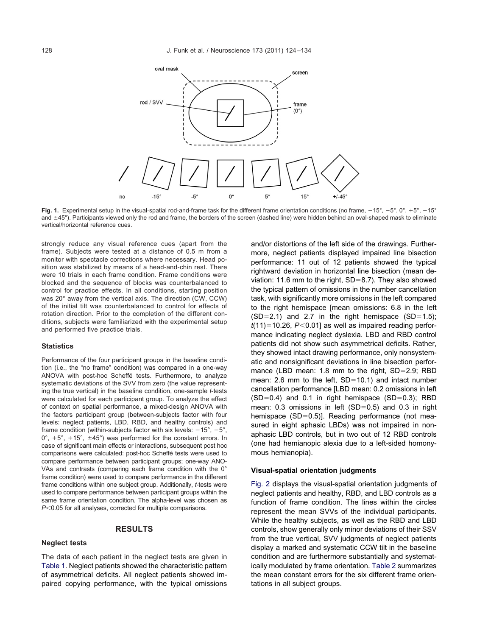<span id="page-4-0"></span>

Fig. 1. Experimental setup in the visual-spatial rod-and-frame task for the different frame orientation conditions (no frame, -15°, -5°, 0°, +5°, +15° and  $\pm$ 45°). Participants viewed only the rod and frame, the borders of the screen (dashed line) were hidden behind an oval-shaped mask to eliminate vertical/horizontal reference cues.

strongly reduce any visual reference cues (apart from the frame). Subjects were tested at a distance of 0.5 m from a monitor with spectacle corrections where necessary. Head position was stabilized by means of a head-and-chin rest. There were 10 trials in each frame condition. Frame conditions were blocked and the sequence of blocks was counterbalanced to control for practice effects. In all conditions, starting position was 20° away from the vertical axis. The direction (CW, CCW) of the initial tilt was counterbalanced to control for effects of rotation direction. Prior to the completion of the different conditions, subjects were familiarized with the experimental setup and performed five practice trials.

#### **Statistics**

Performance of the four participant groups in the baseline condition (i.e., the "no frame" condition) was compared in a one-way ANOVA with post-hoc Scheffé tests. Furthermore, to analyze systematic deviations of the SVV from zero (the value representing the true vertical) in the baseline condition, one-sample *t*-tests were calculated for each participant group. To analyze the effect of context on spatial performance, a mixed-design ANOVA with the factors participant group (between-subjects factor with four levels: neglect patients, LBD, RBD, and healthy controls) and frame condition (within-subjects factor with six levels:  $-15^{\circ}$ ,  $-5^{\circ}$ ,  $0^\circ$ , +5°, +15°,  $\pm$ 45°) was performed for the constant errors. In case of significant main effects or interactions, subsequent post hoc comparisons were calculated: post-hoc Scheffé tests were used to compare performance between participant groups; one-way ANO-VAs and contrasts (comparing each frame condition with the 0° frame condition) were used to compare performance in the different frame conditions within one subject group. Additionally, *t*-tests were used to compare performance between participant groups within the same frame orientation condition. The alpha-level was chosen as *P*<0.05 for all analyses, corrected for multiple comparisons.

#### **RESULTS**

# **Neglect tests**

The data of each patient in the neglect tests are given in [Table 1.](#page-3-0) Neglect patients showed the characteristic pattern of asymmetrical deficits. All neglect patients showed impaired copying performance, with the typical omissions and/or distortions of the left side of the drawings. Furthermore, neglect patients displayed impaired line bisection performance: 11 out of 12 patients showed the typical rightward deviation in horizontal line bisection (mean deviation: 11.6 mm to the right, SD=8.7). They also showed the typical pattern of omissions in the number cancellation task, with significantly more omissions in the left compared to the right hemispace [mean omissions: 6.8 in the left  $(SD=2.1)$  and 2.7 in the right hemispace  $(SD=1.5)$ ;  $t(11)$ =10.26,  $P<$ 0.01] as well as impaired reading performance indicating neglect dyslexia. LBD and RBD control patients did not show such asymmetrical deficits. Rather, they showed intact drawing performance, only nonsystematic and nonsignificant deviations in line bisection performance (LBD mean: 1.8 mm to the right, SD=2.9; RBD mean: 2.6 mm to the left,  $SD=10.1$ ) and intact number cancellation performance [LBD mean: 0.2 omissions in left  $(SD=0.4)$  and 0.1 in right hemispace  $(SD=0.3)$ ; RBD mean: 0.3 omissions in left (SD=0.5) and 0.3 in right hemispace (SD=0.5)]. Reading performance (not measured in eight aphasic LBDs) was not impaired in nonaphasic LBD controls, but in two out of 12 RBD controls (one had hemianopic alexia due to a left-sided homonymous hemianopia).

#### **Visual-spatial orientation judgments**

[Fig. 2](#page-5-0) displays the visual-spatial orientation judgments of neglect patients and healthy, RBD, and LBD controls as a function of frame condition. The lines within the circles represent the mean SVVs of the individual participants. While the healthy subjects, as well as the RBD and LBD controls, show generally only minor deviations of their SSV from the true vertical, SVV judgments of neglect patients display a marked and systematic CCW tilt in the baseline condition and are furthermore substantially and systematically modulated by frame orientation. [Table 2](#page-5-0) summarizes the mean constant errors for the six different frame orientations in all subject groups.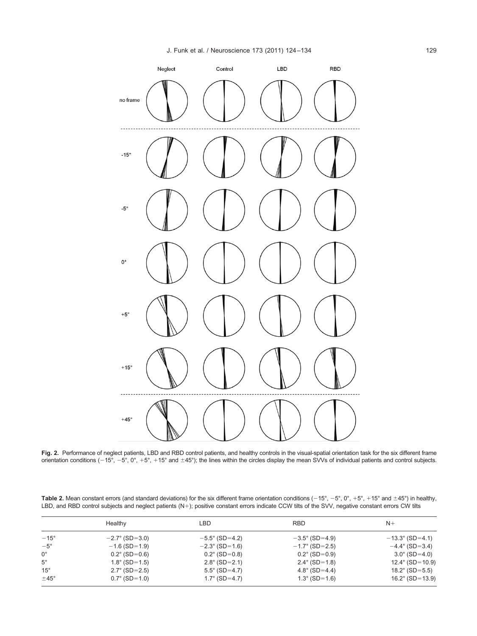<span id="page-5-0"></span>

**Fig. 2.** Performance of neglect patients, LBD and RBD control patients, and healthy controls in the visual-spatial orientation task for the six different frame orientation conditions (-15°, -5°, 0°, +5°, +15° and  $\pm 45^{\circ}$ ); the lines within the circles display the mean SVVs of individual patients and control subjects.

Table 2. Mean constant errors (and standard deviations) for the six different frame orientation conditions  $(-15^\circ, -5^\circ, 0^\circ, +5^\circ, +15^\circ$  and  $\pm 45^\circ)$  in healthy, LBD, and RBD control subjects and neglect patients (N+); positive constant errors indicate CCW tilts of the SVV, negative constant errors CW tilts

|               | Healthy                  | LBD                     | <b>RBD</b>              | $N+$                       |  |
|---------------|--------------------------|-------------------------|-------------------------|----------------------------|--|
| $-15^{\circ}$ | $-2.7^{\circ}$ (SD=3.0)  | $-5.5^{\circ}$ (SD=4.2) | $-3.5^{\circ}$ (SD=4.9) | $-13.3^{\circ}$ (SD=4.1)   |  |
| $-5^\circ$    | $-1.6$ (SD=1.9)          | $-2.3^{\circ}$ (SD=1.6) | $-1.7^{\circ}$ (SD=2.5) | $-4.4^{\circ}$ (SD=3.4)    |  |
| $0^{\circ}$   | $0.2^{\circ}$ (SD=0.6)   | $0.2^{\circ}$ (SD=0.8)  | $0.2^{\circ}$ (SD=0.9)  | $3.0^{\circ}$ (SD=4.0)     |  |
| $5^{\circ}$   | $1.8^{\circ}$ (SD=1.5)   | $2.8^{\circ}$ (SD=2.1)  | $2.4^{\circ}$ (SD=1.8)  | $12.4^{\circ}$ (SD=10.9)   |  |
| $15^{\circ}$  | $2.7^{\circ}$ (SD=2.5)   | $5.5^{\circ}$ (SD=4.7)  | 4.8 $^{\circ}$ (SD=4.4) | $18.2^{\circ}$ (SD=5.5)    |  |
| $±45^{\circ}$ | $0.7^{\circ}$ (SD = 1.0) | $1.7^{\circ}$ (SD=4.7)  | $1.3^{\circ}$ (SD=1.6)  | $16.2^{\circ}$ (SD = 13.9) |  |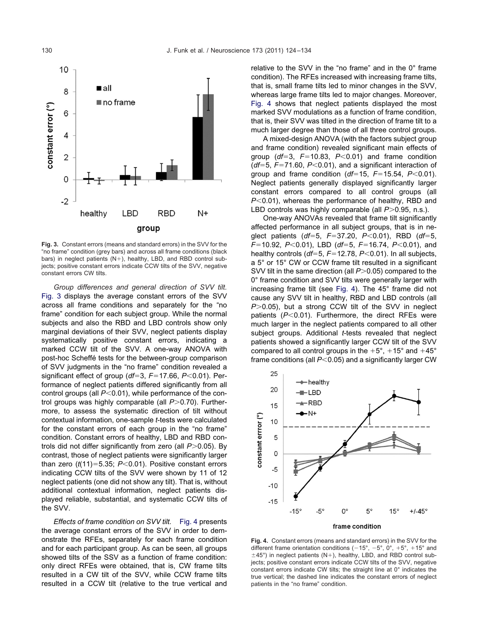<span id="page-6-0"></span>

**Fig. 3.** Constant errors (means and standard errors) in the SVV for the "no frame" condition (grey bars) and across all frame conditions (black bars) in neglect patients  $(N+)$ , healthy, LBD, and RBD control subjects; positive constant errors indicate CCW tilts of the SVV, negative constant errors CW tilts.

*Group differences and general direction of SVV tilt.* Fig. 3 displays the average constant errors of the SVV across all frame conditions and separately for the "no frame" condition for each subject group. While the normal subjects and also the RBD and LBD controls show only marginal deviations of their SVV, neglect patients display systematically positive constant errors, indicating a marked CCW tilt of the SVV. A one-way ANOVA with post-hoc Scheffé tests for the between-group comparison of SVV judgments in the "no frame" condition revealed a significant effect of group (*df*=3, *F*=17.66, *P*<0.01). Performance of neglect patients differed significantly from all control groups (all  $P<0.01$ ), while performance of the control groups was highly comparable (all *P*>0.70). Furthermore, to assess the systematic direction of tilt without contextual information, one-sample *t*-tests were calculated for the constant errors of each group in the "no frame" condition. Constant errors of healthy, LBD and RBD controls did not differ significantly from zero (all P>0.05). By contrast, those of neglect patients were significantly larger than zero (*t*(11)=5.35; P<0.01). Positive constant errors indicating CCW tilts of the SVV were shown by 11 of 12 neglect patients (one did not show any tilt). That is, without additional contextual information, neglect patients displayed reliable, substantial, and systematic CCW tilts of the SVV.

*Effects of frame condition on SVV tilt.* Fig. 4 presents the average constant errors of the SVV in order to demonstrate the RFEs, separately for each frame condition and for each participant group. As can be seen, all groups showed tilts of the SSV as a function of frame condition: only direct RFEs were obtained, that is, CW frame tilts resulted in a CW tilt of the SVV, while CCW frame tilts resulted in a CCW tilt (relative to the true vertical and relative to the SVV in the "no frame" and in the 0° frame condition). The RFEs increased with increasing frame tilts, that is, small frame tilts led to minor changes in the SVV, whereas large frame tilts led to major changes. Moreover, Fig. 4 shows that neglect patients displayed the most marked SVV modulations as a function of frame condition, that is, their SVV was tilted in the direction of frame tilt to a much larger degree than those of all three control groups.

A mixed-design ANOVA (with the factors subject group and frame condition) revealed significant main effects of group (*df*=3, *F*=10.83, *P*<0.01) and frame condition (*df*=5, F=71.60, P<0.01), and a significant interaction of group and frame condition (*df*=15, *F*=15.54, *P*<0.01). Neglect patients generally displayed significantly larger constant errors compared to all control groups (all  $P<0.01$ ), whereas the performance of healthy, RBD and LBD controls was highly comparable (all  $P > 0.95$ , n.s.).

One-way ANOVAs revealed that frame tilt significantly affected performance in all subject groups, that is in neglect patients (*df*-5, *F*-37.20, *P*0.01), RBD (*df*-5, *F*=10.92, *P*<0.01), LBD (*df*=5, *F*=16.74, *P*<0.01), and healthy controls (*df*=5, *F*=12.78, *P*<0.01). In all subjects, a 5° or 15° CW or CCW frame tilt resulted in a significant SVV tilt in the same direction (all  $P > 0.05$ ) compared to the 0° frame condition and SVV tilts were generally larger with increasing frame tilt (see Fig. 4). The 45° frame did not cause any SVV tilt in healthy, RBD and LBD controls (all *P*>0.05), but a strong CCW tilt of the SVV in neglect patients  $(P<0.01)$ . Furthermore, the direct RFEs were much larger in the neglect patients compared to all other subject groups. Additional *t*-tests revealed that neglect patients showed a significantly larger CCW tilt of the SVV compared to all control groups in the  $+5^{\circ}$ ,  $+15^{\circ}$  and  $+45^{\circ}$ frame conditions (all  $P<0.05$ ) and a significantly larger CW



**Fig. 4.** Constant errors (means and standard errors) in the SVV for the different frame orientation conditions (-15°, -5°, 0°, +5°, +15° and  $\pm$ 45°) in neglect patients (N+), healthy, LBD, and RBD control subjects; positive constant errors indicate CCW tilts of the SVV, negative constant errors indicate CW tilts; the straight line at 0° indicates the true vertical; the dashed line indicates the constant errors of neglect patients in the "no frame" condition.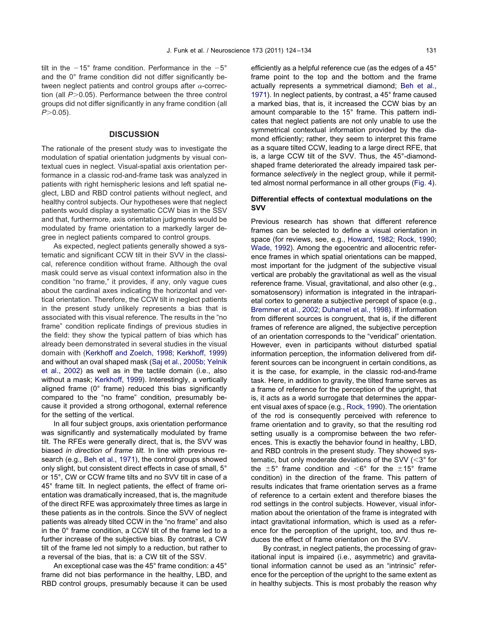tilt in the  $-15^{\circ}$  frame condition. Performance in the  $-5^{\circ}$ and the 0° frame condition did not differ significantly between neglect patients and control groups after  $\alpha$ -correction (all *P*>0.05). Performance between the three control groups did not differ significantly in any frame condition (all  $P > 0.05$ ).

# **DISCUSSION**

The rationale of the present study was to investigate the modulation of spatial orientation judgments by visual contextual cues in neglect. Visual-spatial axis orientation performance in a classic rod-and-frame task was analyzed in patients with right hemispheric lesions and left spatial neglect, LBD and RBD control patients without neglect, and healthy control subjects. Our hypotheses were that neglect patients would display a systematic CCW bias in the SSV and that, furthermore, axis orientation judgments would be modulated by frame orientation to a markedly larger degree in neglect patients compared to control groups.

As expected, neglect patients generally showed a systematic and significant CCW tilt in their SVV in the classical, reference condition without frame. Although the oval mask could serve as visual context information also in the condition "no frame," it provides, if any, only vague cues about the cardinal axes indicating the horizontal and vertical orientation. Therefore, the CCW tilt in neglect patients in the present study unlikely represents a bias that is associated with this visual reference. The results in the "no frame" condition replicate findings of previous studies in the field: they show the typical pattern of bias which has already been demonstrated in several studies in the visual domain with [\(Kerkhoff and Zoelch, 1998; Kerkhoff, 1999\)](#page-10-0) and without an oval shaped mask [\(Saj et al., 2005b; Yelnik](#page-10-0) [et al., 2002\)](#page-10-0) as well as in the tactile domain (i.e., also without a mask; [Kerkhoff, 1999\)](#page-10-0). Interestingly, a vertically aligned frame (0° frame) reduced this bias significantly compared to the "no frame" condition, presumably because it provided a strong orthogonal, external reference for the setting of the vertical.

In all four subject groups, axis orientation performance was significantly and systematically modulated by frame tilt. The RFEs were generally direct, that is, the SVV was biased *in direction of frame tilt*. In line with previous research (e.g., [Beh et al., 1971\)](#page-9-0), the control groups showed only slight, but consistent direct effects in case of small, 5° or 15°, CW or CCW frame tilts and no SVV tilt in case of a 45° frame tilt. In neglect patients, the effect of frame orientation was dramatically increased, that is, the magnitude of the direct RFE was approximately three times as large in these patients as in the controls. Since the SVV of neglect patients was already tilted CCW in the "no frame" and also in the 0° frame condition, a CCW tilt of the frame led to a further increase of the subjective bias. By contrast, a CW tilt of the frame led not simply to a reduction, but rather to a reversal of the bias, that is: a CW tilt of the SSV.

An exceptional case was the 45° frame condition: a 45° frame did not bias performance in the healthy, LBD, and RBD control groups, presumably because it can be used efficiently as a helpful reference cue (as the edges of a 45° frame point to the top and the bottom and the frame actually represents a symmetrical diamond; [Beh et al.,](#page-9-0) [1971\)](#page-9-0). In neglect patients, by contrast, a 45° frame caused a marked bias, that is, it increased the CCW bias by an amount comparable to the 15° frame. This pattern indicates that neglect patients are not only unable to use the symmetrical contextual information provided by the diamond efficiently; rather, they seem to interpret this frame as a square tilted CCW, leading to a large direct RFE, that is, a large CCW tilt of the SVV. Thus, the 45°-diamondshaped frame deteriorated the already impaired task performance *selectively* in the neglect group, while it permitted almost normal performance in all other groups [\(Fig. 4\)](#page-6-0).

# **Differential effects of contextual modulations on the SVV**

Previous research has shown that different reference frames can be selected to define a visual orientation in space (for reviews, see, e.g., [Howard, 1982; Rock, 1990;](#page-9-0) [Wade, 1992\)](#page-9-0). Among the egocentric and allocentric reference frames in which spatial orientations can be mapped, most important for the judgment of the subjective visual vertical are probably the gravitational as well as the visual reference frame. Visual, gravitational, and also other (e.g., somatosensory) information is integrated in the intraparietal cortex to generate a subjective percept of space (e.g., [Bremmer et al., 2002; Duhamel et al., 1998\)](#page-9-0). If information from different sources is congruent, that is, if the different frames of reference are aligned, the subjective perception of an orientation corresponds to the "veridical" orientation. However, even in participants without disturbed spatial information perception, the information delivered from different sources can be incongruent in certain conditions, as it is the case, for example, in the classic rod-and-frame task. Here, in addition to gravity, the tilted frame serves as a frame of reference for the perception of the upright, that is, it acts as a world surrogate that determines the apparent visual axes of space (e.g., [Rock, 1990\)](#page-10-0). The orientation of the rod is consequently perceived with reference to frame orientation and to gravity, so that the resulting rod setting usually is a compromise between the two references. This is exactly the behavior found in healthy, LBD, and RBD controls in the present study. They showed systematic, but only moderate deviations of the SVV  $( $3^{\circ}$  for)$ the  $\pm 5^{\circ}$  frame condition and  $\leq 6^{\circ}$  for the  $\pm 15^{\circ}$  frame condition) in the direction of the frame. This pattern of results indicates that frame orientation serves as a frame of reference to a certain extent and therefore biases the rod settings in the control subjects. However, visual information about the orientation of the frame is integrated with intact gravitational information, which is used as a reference for the perception of the upright, too, and thus reduces the effect of frame orientation on the SVV.

By contrast, in neglect patients, the processing of gravitational input is impaired (i.e., asymmetric) and gravitational information cannot be used as an "intrinsic" reference for the perception of the upright to the same extent as in healthy subjects. This is most probably the reason why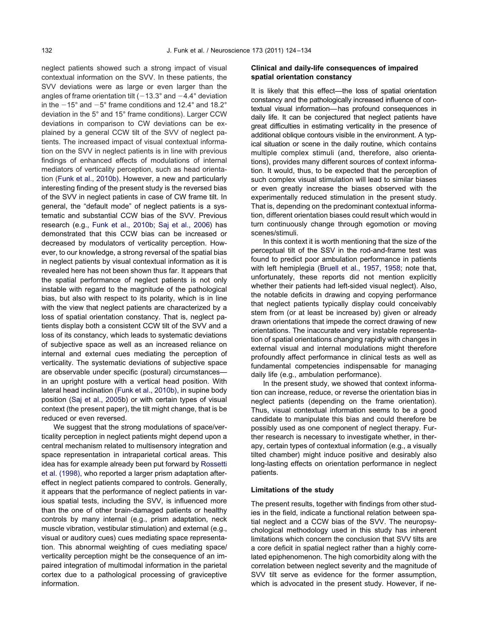neglect patients showed such a strong impact of visual contextual information on the SVV. In these patients, the SVV deviations were as large or even larger than the angles of frame orientation tilt  $(-13.3°$  and  $-4.4°$  deviation in the  $-15^{\circ}$  and  $-5^{\circ}$  frame conditions and 12.4° and 18.2° deviation in the 5° and 15° frame conditions). Larger CCW deviations in comparison to CW deviations can be explained by a general CCW tilt of the SVV of neglect patients. The increased impact of visual contextual information on the SVV in neglect patients is in line with previous findings of enhanced effects of modulations of internal mediators of verticality perception, such as head orientation [\(Funk et al., 2010b\).](#page-9-0) However, a new and particularly interesting finding of the present study is the reversed bias of the SVV in neglect patients in case of CW frame tilt. In general, the "default mode" of neglect patients is a systematic and substantial CCW bias of the SVV. Previous research (e.g., [Funk et al., 2010b; Saj et al., 2006\)](#page-9-0) has demonstrated that this CCW bias can be increased or decreased by modulators of verticality perception. However, to our knowledge, a strong reversal of the spatial bias in neglect patients by visual contextual information as it is revealed here has not been shown thus far. It appears that the spatial performance of neglect patients is not only instable with regard to the magnitude of the pathological bias, but also with respect to its polarity, which is in line with the view that neglect patients are characterized by a loss of spatial orientation constancy. That is, neglect patients display both a consistent CCW tilt of the SVV and a loss of its constancy, which leads to systematic deviations of subjective space as well as an increased reliance on internal and external cues mediating the perception of verticality. The systematic deviations of subjective space are observable under specific (postural) circumstances in an upright posture with a vertical head position. With lateral head inclination [\(Funk et al., 2010b\),](#page-9-0) in supine body position [\(Saj et al., 2005b](#page-10-0)) or with certain types of visual context (the present paper), the tilt might change, that is be reduced or even reversed.

We suggest that the strong modulations of space/verticality perception in neglect patients might depend upon a central mechanism related to multisensory integration and space representation in intraparietal cortical areas. This idea has for example already been put forward by [Rossetti](#page-10-0) [et al. \(1998\),](#page-10-0) who reported a larger prism adaptation aftereffect in neglect patients compared to controls. Generally, it appears that the performance of neglect patients in various spatial tests, including the SVV, is influenced more than the one of other brain-damaged patients or healthy controls by many internal (e.g., prism adaptation, neck muscle vibration, vestibular stimulation) and external (e.g., visual or auditory cues) cues mediating space representation. This abnormal weighting of cues mediating space/ verticality perception might be the consequence of an impaired integration of multimodal information in the parietal cortex due to a pathological processing of graviceptive information.

# **Clinical and daily-life consequences of impaired spatial orientation constancy**

It is likely that this effect—the loss of spatial orientation constancy and the pathologically increased influence of contextual visual information—has profound consequences in daily life. It can be conjectured that neglect patients have great difficulties in estimating verticality in the presence of additional oblique contours visible in the environment. A typical situation or scene in the daily routine, which contains multiple complex stimuli (and, therefore, also orientations), provides many different sources of context information. It would, thus, to be expected that the perception of such complex visual stimulation will lead to similar biases or even greatly increase the biases observed with the experimentally reduced stimulation in the present study. That is, depending on the predominant contextual information, different orientation biases could result which would in turn continuously change through egomotion or moving scenes/stimuli.

In this context it is worth mentioning that the size of the perceptual tilt of the SSV in the rod-and-frame test was found to predict poor ambulation performance in patients with left hemiplegia [\(Bruell et al., 1957, 1958;](#page-9-0) note that, unfortunately, these reports did not mention explicitly whether their patients had left-sided visual neglect). Also, the notable deficits in drawing and copying performance that neglect patients typically display could conceivably stem from (or at least be increased by) given or already drawn orientations that impede the correct drawing of new orientations. The inaccurate and very instable representation of spatial orientations changing rapidly with changes in external visual and internal modulations might therefore profoundly affect performance in clinical tests as well as fundamental competencies indispensable for managing daily life (e.g., ambulation performance).

In the present study, we showed that context information can increase, reduce, or reverse the orientation bias in neglect patients (depending on the frame orientation). Thus, visual contextual information seems to be a good candidate to manipulate this bias and could therefore be possibly used as one component of neglect therapy. Further research is necessary to investigate whether, in therapy, certain types of contextual information (e.g., a visually tilted chamber) might induce positive and desirably also long-lasting effects on orientation performance in neglect patients.

# **Limitations of the study**

The present results, together with findings from other studies in the field, indicate a functional relation between spatial neglect and a CCW bias of the SVV. The neuropsychological methodology used in this study has inherent limitations which concern the conclusion that SVV tilts are a core deficit in spatial neglect rather than a highly correlated epiphenomenon. The high comorbidity along with the correlation between neglect severity and the magnitude of SVV tilt serve as evidence for the former assumption, which is advocated in the present study. However, if ne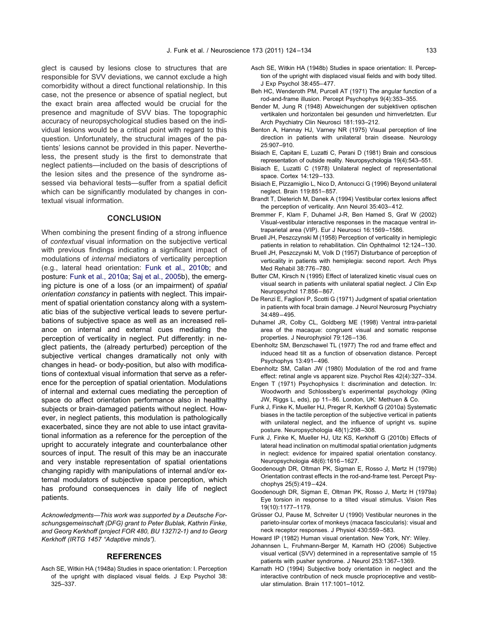<span id="page-9-0"></span>glect is caused by lesions close to structures that are responsible for SVV deviations, we cannot exclude a high comorbidity without a direct functional relationship. In this case, not the presence or absence of spatial neglect, but the exact brain area affected would be crucial for the presence and magnitude of SVV bias. The topographic accuracy of neuropsychological studies based on the individual lesions would be a critical point with regard to this question. Unfortunately, the structural images of the patients' lesions cannot be provided in this paper. Nevertheless, the present study is the first to demonstrate that neglect patients—included on the basis of descriptions of the lesion sites and the presence of the syndrome assessed via behavioral tests—suffer from a spatial deficit which can be significantly modulated by changes in contextual visual information.

# **CONCLUSION**

When combining the present finding of a strong influence of *contextual* visual information on the subjective vertical with previous findings indicating a significant impact of modulations of *internal* mediators of verticality perception (e.g., lateral head orientation: Funk et al., 2010b; and posture: Funk et al., 2010a; [Saj et al., 2005b](#page-10-0)), the emerging picture is one of a loss (or an impairment) of *spatial orientation constancy* in patients with neglect. This impairment of spatial orientation constancy along with a systematic bias of the subjective vertical leads to severe perturbations of subjective space as well as an increased reliance on internal and external cues mediating the perception of verticality in neglect. Put differently: in neglect patients, the (already perturbed) perception of the subjective vertical changes dramatically not only with changes in head- or body-position, but also with modifications of contextual visual information that serve as a reference for the perception of spatial orientation. Modulations of internal and external cues mediating the perception of space do affect orientation performance also in healthy subjects or brain-damaged patients without neglect. However, in neglect patients, this modulation is pathologically exacerbated, since they are not able to use intact gravitational information as a reference for the perception of the upright to accurately integrate and counterbalance other sources of input. The result of this may be an inaccurate and very instable representation of spatial orientations changing rapidly with manipulations of internal and/or external modulators of subjective space perception, which has profound consequences in daily life of neglect patients.

*Acknowledgments—This work was supported by a Deutsche Forschungsgemeinschaft (DFG) grant to Peter Bublak, Kathrin Finke, and Georg Kerkhoff (project FOR 480, BU 1327/2-1) and to Georg Kerkhoff (IRTG 1457 "Adaptive minds").*

### **REFERENCES**

Asch SE, Witkin HA (1948a) Studies in space orientation: I. Perception of the upright with displaced visual fields. J Exp Psychol 38: 325–337.

- Asch SE, Witkin HA (1948b) Studies in space orientation: II. Perception of the upright with displaced visual fields and with body tilted. J Exp Psychol 38:455– 477.
- Beh HC, Wenderoth PM, Purcell AT (1971) The angular function of a rod-and-frame illusion. Percept Psychophys 9(4):353–355.
- Bender M, Jung R (1948) Abweichungen der subjektiven optischen vertikalen und horizontalen bei gesunden und hirnverletzten. Eur Arch Psychiatry Clin Neurosci 181:193–212.
- Benton A, Hannay HJ, Varney NR (1975) Visual perception of line direction in patients with unilateral brain disease. Neurology 25:907–910.
- Bisiach E, Capitani E, Luzatti C, Perani D (1981) Brain and conscious representation of outside reality. Neuropsychologia 19(4):543–551.
- Bisiach E, Luzatti C (1978) Unilateral neglect of representational space. Cortex 14:129 –133.
- Bisiach E, Pizzamiglio L, Nico D, Antonucci G (1996) Beyond unilateral neglect. Brain 119:851– 857.
- Brandt T, Dieterich M, Danek A (1994) Vestibular cortex lesions affect the perception of verticality. Ann Neurol 35:403– 412.
- Bremmer F, Klam F, Duhamel J-R, Ben Hamed S, Graf W (2002) Visual-vestibular interactive responses in the macaque ventral intraparietal area (VIP). Eur J Neurosci 16:1569 –1586.
- Bruell JH, Peszczynski M (1958) Perception of verticality in hemiplegic patients in relation to rehabilitation. Clin Ophthalmol 12:124 –130.
- Bruell JH, Peszczynski M, Volk D (1957) Disturbance of perception of verticality in patients with hemiplegia: second report. Arch Phys Med Rehabil 38:776 –780.
- Butter CM, Kirsch N (1995) Effect of lateralized kinetic visual cues on visual search in patients with unilateral spatial neglect. J Clin Exp Neuropsychol 17:856 – 867.
- De Renzi E, Faglioni P, Scotti G (1971) Judgment of spatial orientation in patients with focal brain damage. J Neurol Neurosurg Psychiatry 34:489 – 495.
- Duhamel JR, Colby CL, Goldberg ME (1998) Ventral intra-parietal area of the macaque: congruent visual and somatic response properties. J Neurophysiol 79:126 –136.
- Ebenholtz SM, Benzschawel TL (1977) The rod and frame effect and induced head tilt as a function of observation distance. Percept Psychophys  $13:491-496$ .
- Ebenholtz SM, Callan JW (1980) Modulation of the rod and frame effect: retinal angle vs apparent size. Psychol Res 42(4):327–334.
- Engen T (1971) Psychophysics I: discrimination and detection. In: Woodworth and Schlossberg's experimental psychology (Kling JW, Riggs L, eds), pp 11– 86. London, UK: Methuen & Co.
- Funk J, Finke K, Mueller HJ, Preger R, Kerkhoff G (2010a) Systematic biases in the tactile perception of the subjective vertical in patients with unilateral neglect, and the influence of upright vs. supine posture. Neuropsychologia 48(1):298 –308.
- Funk J, Finke K, Mueller HJ, Utz KS, Kerkhoff G (2010b) Effects of lateral head inclination on multimodal spatial orientation judgments in neglect: evidence for impaired spatial orientation constancy. Neuropsychologia 48(6):1616 –1627.
- Goodenough DR, Oltman PK, Sigman E, Rosso J, Mertz H (1979b) Orientation contrast effects in the rod-and-frame test. Percept Psychophys 25(5):419 – 424.
- Goodenough DR, Sigman E, Oltman PK, Rosso J, Mertz H (1979a) Eye torsion in response to a tilted visual stimulus. Vision Res 19(10):1177–1179.
- Grüsser OJ, Pause M, Schreiter U (1990) Vestibular neurones in the parieto-insular cortex of monkeys (macaca fascicularis): visual and neck receptor responses. J Physiol 430:559 –583.
- Howard IP (1982) Human visual orientation. New York, NY: Wiley.
- Johannsen L, Fruhmann-Berger M, Karnath HO (2006) Subjective visual vertical (SVV) determined in a representative sample of 15 patients with pusher syndrome. J Neurol 253:1367–1369.
- Karnath HO (1994) Subjective body orientation in neglect and the interactive contribution of neck muscle proprioceptive and vestibular stimulation. Brain 117:1001–1012.